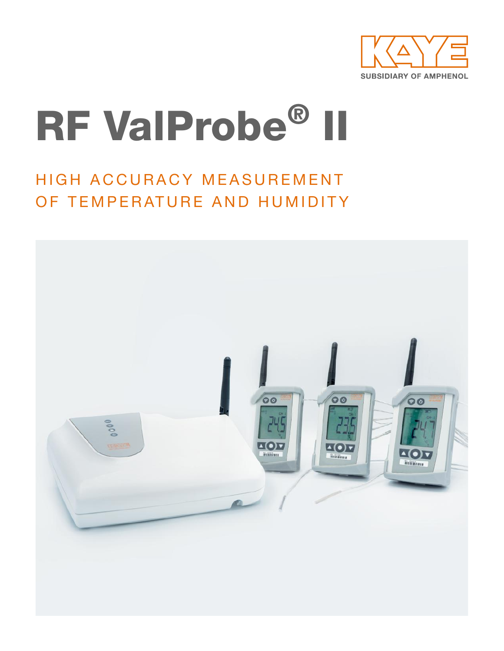

# RF ValProbe® II

# HIGH ACCURACY MEASUREMENT OF TEMPERATURE AND HUMIDITY

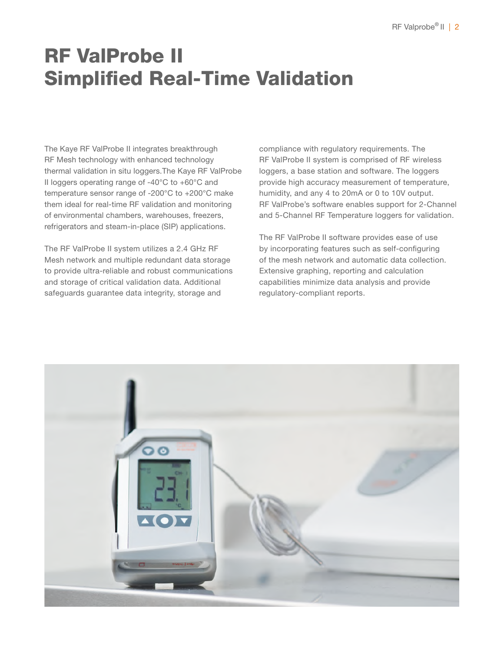# RF ValProbe II Simplified Real-Time Validation

The Kaye RF ValProbe II integrates breakthrough RF Mesh technology with enhanced technology thermal validation in situ loggers.The Kaye RF ValProbe II loggers operating range of -40°C to +60°C and temperature sensor range of -200°C to +200°C make them ideal for real-time RF validation and monitoring of environmental chambers, warehouses, freezers, refrigerators and steam-in-place (SIP) applications.

The RF ValProbe II system utilizes a 2.4 GHz RF Mesh network and multiple redundant data storage to provide ultra-reliable and robust communications and storage of critical validation data. Additional safeguards guarantee data integrity, storage and

compliance with regulatory requirements. The RF ValProbe II system is comprised of RF wireless loggers, a base station and software. The loggers provide high accuracy measurement of temperature, humidity, and any 4 to 20mA or 0 to 10V output. RF ValProbe's software enables support for 2-Channel and 5-Channel RF Temperature loggers for validation.

The RF ValProbe II software provides ease of use by incorporating features such as self-configuring of the mesh network and automatic data collection. Extensive graphing, reporting and calculation capabilities minimize data analysis and provide regulatory-compliant reports.

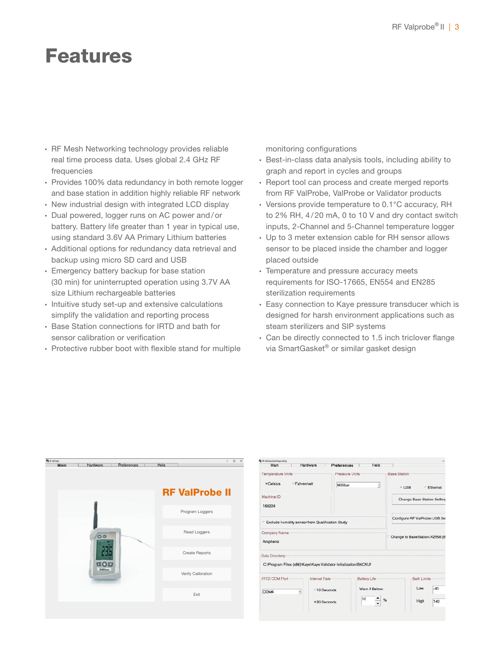## Features

- ∙ RF Mesh Networking technology provides reliable real time process data. Uses global 2.4 GHz RF frequencies
- ∙ Provides 100% data redundancy in both remote logger and base station in addition highly reliable RF network
- ∙ New industrial design with integrated LCD display
- ∙ Dual powered, logger runs on AC power and/ or battery. Battery life greater than 1 year in typical use, using standard 3.6V AA Primary Lithium batteries
- ∙ Additional options for redundancy data retrieval and backup using micro SD card and USB
- ∙ Emergency battery backup for base station (30 min) for uninterrupted operation using 3.7V AA size Lithium rechargeable batteries
- ∙ Intuitive study set-up and extensive calculations simplify the validation and reporting process
- ∙ Base Station connections for IRTD and bath for sensor calibration or verification
- ∙ Protective rubber boot with flexible stand for multiple

monitoring configurations

- ∙ Best-in-class data analysis tools, including ability to graph and report in cycles and groups
- ∙ Report tool can process and create merged reports from RF ValProbe, ValProbe or Validator products
- ∙ Versions provide temperature to 0.1°C accuracy, RH to 2% RH, 4/20 mA, 0 to 10 V and dry contact switch inputs, 2-Channel and 5-Channel temperature logger
- ∙ Up to 3 meter extension cable for RH sensor allows sensor to be placed inside the chamber and logger placed outside
- ∙ Temperature and pressure accuracy meets requirements for ISO-17665, EN554 and EN285 sterilization requirements
- ∙ Easy connection to Kaye pressure transducer which is designed for harsh environment applications such as steam sterilizers and SIP systems
- ∙ Can be directly connected to 1.5 inch triclover flange via SmartGasket® or similar gasket design

| <b>Giovanni di</b><br><b>Main</b> | Hardware |                                            | Preferences | Help |                       | $\times$<br>o |
|-----------------------------------|----------|--------------------------------------------|-------------|------|-----------------------|---------------|
|                                   |          |                                            |             |      |                       |               |
|                                   |          |                                            |             |      | <b>RF ValProbe II</b> |               |
|                                   |          |                                            |             |      | Program Loggers       |               |
|                                   |          | $\circ$                                    |             |      | Read Loggers          |               |
|                                   |          | $\mathbf{L}(\bullet)$ v<br><i>itemanns</i> |             |      | Create Reports        |               |
|                                   |          |                                            |             |      | Verify Calibration    |               |
|                                   |          |                                            |             |      | Exit                  |               |

| Main                                                                               | Hardware      | Preferences                                 |                     | Help |                               |                             |          |
|------------------------------------------------------------------------------------|---------------|---------------------------------------------|---------------------|------|-------------------------------|-----------------------------|----------|
| <b>Temperature Units</b>                                                           |               | Pressure Units                              |                     |      | Base Station                  |                             |          |
| * Celsius                                                                          | Fahrenheit    | Millibar                                    |                     | ×.   | · USB                         | ×                           | Ethernet |
| Machine ID                                                                         |               |                                             |                     |      |                               | Change Base Station Setting |          |
| 168224                                                                             |               |                                             |                     |      |                               |                             |          |
| Exclude humidity sensor from Qualification Study                                   |               |                                             |                     |      | Configure RF ValProbe USB Set |                             |          |
| Company Name<br>Ampheno                                                            |               | <sup>T</sup> Change to BaseStation-X2558 (B |                     |      |                               |                             |          |
| Data Directory<br>C:\Program Files (x86)\Kaye\Kaye Validator Initialization\BACKUF |               |                                             |                     |      |                               |                             |          |
| <b>IRTD COM Port</b>                                                               | Interval Rate |                                             | <b>Battery Life</b> |      |                               | <b>Bath Limits</b>          |          |
| COM4<br>ᅱ                                                                          | 010 Seconds   |                                             | Warn if Below:      |      |                               | Low                         | $-40$    |
|                                                                                    | $*30$ Seconds |                                             | 10                  | %    |                               | High                        | 140      |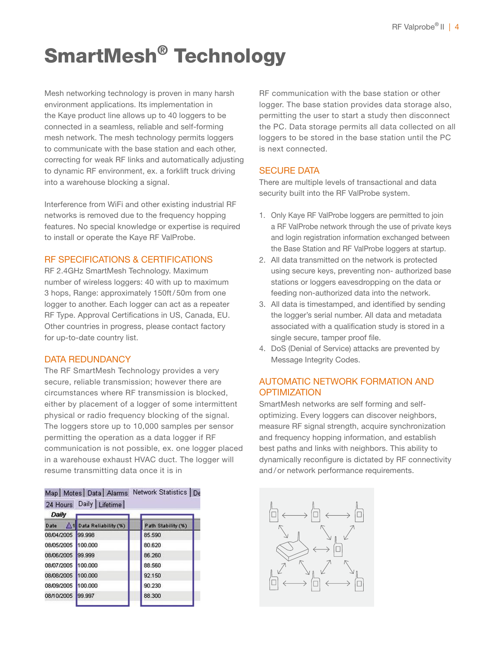# SmartMesh® Technology

Mesh networking technology is proven in many harsh environment applications. Its implementation in the Kaye product line allows up to 40 loggers to be connected in a seamless, reliable and self-forming mesh network. The mesh technology permits loggers to communicate with the base station and each other, correcting for weak RF links and automatically adjusting to dynamic RF environment, ex. a forklift truck driving into a warehouse blocking a signal.

Interference from WiFi and other existing industrial RF networks is removed due to the frequency hopping features. No special knowledge or expertise is required to install or operate the Kaye RF ValProbe.

#### RF SPECIFICATIONS & CERTIFICATIONS

RF 2.4GHz SmartMesh Technology. Maximum number of wireless loggers: 40 with up to maximum 3 hops, Range: approximately 150ft/ 50m from one logger to another. Each logger can act as a repeater RF Type. Approval Certifications in US, Canada, EU. Other countries in progress, please contact factory for up-to-date country list.

#### DATA REDUNDANCY

The RF SmartMesh Technology provides a very secure, reliable transmission; however there are circumstances where RF transmission is blocked, either by placement of a logger of some intermittent physical or radio frequency blocking of the signal. The loggers store up to 10,000 samples per sensor permitting the operation as a data logger if RF communication is not possible, ex. one logger placed in a warehouse exhaust HVAC duct. The logger will resume transmitting data once it is in

|  |  |                         | Map   Motes   Data   Alarms Network Statistics   De |  |
|--|--|-------------------------|-----------------------------------------------------|--|
|  |  | 24 Hours Daily Lifetime |                                                     |  |

| Daily              |                        |                    |
|--------------------|------------------------|--------------------|
| Date               | 1 Data Reliability (%) | Path Stability (%) |
| 08/04/2005 99.998  |                        | 85.590             |
| 08/05/2005 100.000 |                        | 80.620             |
| 08/06/2005 99.999  |                        | 86.260             |
| 08/07/2005 100.000 |                        | 88,560             |
| 08/08/2005 100.000 |                        | 92.150             |
| 08/09/2005 100.000 |                        | 90.230             |
| 08/10/2005 99.997  |                        | 88,300             |
|                    |                        |                    |

RF communication with the base station or other logger. The base station provides data storage also, permitting the user to start a study then disconnect the PC. Data storage permits all data collected on all loggers to be stored in the base station until the PC is next connected.

#### SECURE DATA

There are multiple levels of transactional and data security built into the RF ValProbe system.

- 1. Only Kaye RF ValProbe loggers are permitted to join a RF ValProbe network through the use of private keys and login registration information exchanged between the Base Station and RF ValProbe loggers at startup.
- 2. All data transmitted on the network is protected using secure keys, preventing non- authorized base stations or loggers eavesdropping on the data or feeding non-authorized data into the network.
- 3. All data is timestamped, and identified by sending the logger's serial number. All data and metadata associated with a qualification study is stored in a single secure, tamper proof file.
- 4. DoS (Denial of Service) attacks are prevented by Message Integrity Codes.

#### AUTOMATIC NETWORK FORMATION AND **OPTIMIZATION**

SmartMesh networks are self forming and selfoptimizing. Every loggers can discover neighbors, measure RF signal strength, acquire synchronization and frequency hopping information, and establish best paths and links with neighbors. This ability to dynamically reconfigure is dictated by RF connectivity and/ or network performance requirements.

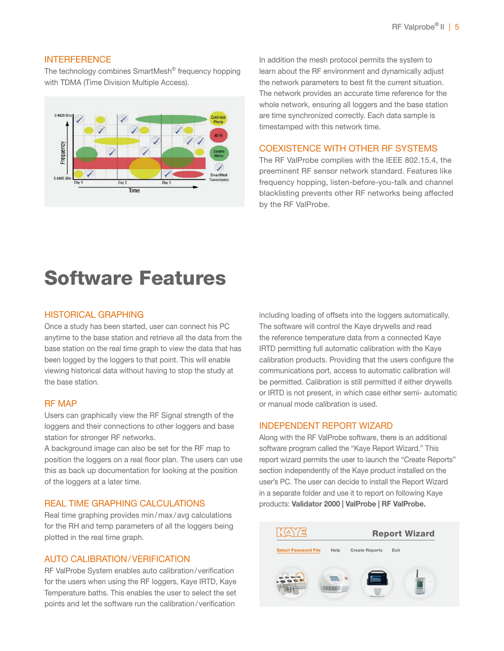#### **INTERFERENCE**

The technology combines SmartMesh® frequency hopping with TDMA (Time Division Multiple Access).



In addition the mesh protocol permits the system to learn about the RF environment and dynamically adjust the network parameters to best fit the current situation. The network provides an accurate time reference for the whole network, ensuring all loggers and the base station are time synchronized correctly. Each data sample is timestamped with this network time.

#### COEXISTENCE WITH OTHER RF SYSTEMS

The RF ValProbe complies with the IEEE 802.15.4, the preeminent RF sensor network standard. Features like frequency hopping, listen-before-you-talk and channel blacklisting prevents other RF networks being affected by the RF ValProbe.

# Software Features

#### HISTORICAL GRAPHING

Once a study has been started, user can connect his PC anytime to the base station and retrieve all the data from the base station on the real time graph to view the data that has been logged by the loggers to that point. This will enable viewing historical data without having to stop the study at the base station.

#### RF MAP

Users can graphically view the RF Signal strength of the loggers and their connections to other loggers and base station for stronger RF networks.

A background image can also be set for the RF map to position the loggers on a real floor plan. The users can use this as back up documentation for looking at the position of the loggers at a later time.

#### REAL TIME GRAPHING CALCULATIONS

Real time graphing provides min/max/avg calculations for the RH and temp parameters of all the loggers being plotted in the real time graph.

#### AUTO CALIBRATION/VERIFICATION

RF ValProbe System enables auto calibration/verification for the users when using the RF loggers, Kaye IRTD, Kaye Temperature baths. This enables the user to select the set points and let the software run the calibration/verification

including loading of offsets into the loggers automatically. The software will control the Kaye drywells and read the reference temperature data from a connected Kaye IRTD permitting full automatic calibration with the Kaye calibration products. Providing that the users configure the communications port, access to automatic calibration will be permitted. Calibration is still permitted if either drywells or IRTD is not present, in which case either semi- automatic or manual mode calibration is used.

#### INDEPENDENT REPORT WIZARD

Along with the RF ValProbe software, there is an additional software program called the "Kaye Report Wizard." This report wizard permits the user to launch the "Create Reports" section independently of the Kaye product installed on the user's PC. The user can decide to install the Report Wizard in a separate folder and use it to report on following Kaye products: Validator 2000 | ValProbe | RF ValProbe.

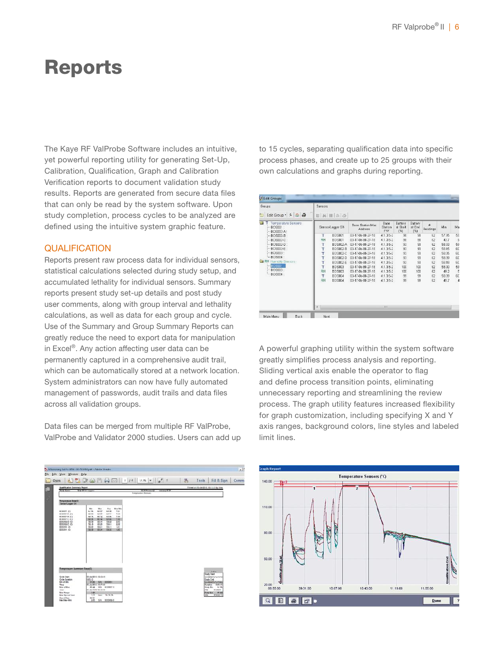### Reports

The Kaye RF ValProbe Software includes an intuitive, yet powerful reporting utility for generating Set-Up, Calibration, Qualification, Graph and Calibration Verification reports to document validation study results. Reports are generated from secure data files that can only be read by the system software. Upon study completion, process cycles to be analyzed are defined using the intuitive system graphic feature.

#### **QUALIFICATION**

Reports present raw process data for individual sensors, statistical calculations selected during study setup, and accumulated lethality for individual sensors. Summary reports present study set-up details and post study user comments, along with group interval and lethality calculations, as well as data for each group and cycle. Use of the Summary and Group Summary Reports can greatly reduce the need to export data for manipulation in Excel®. Any action affecting user data can be permanently captured in a comprehensive audit trail, which can be automatically stored at a network location. System administrators can now have fully automated management of passwords, audit trails and data files across all validation groups.

Data files can be merged from multiple RF ValProbe, ValProbe and Validator 2000 studies. Users can add up to 15 cycles, separating qualification data into specific process phases, and create up to 25 groups with their own calculations and graphs during reporting.

| Groups                                                           | Sensors          |                 |                             |                              |                            |                          |          |       |               |  |  |  |  |
|------------------------------------------------------------------|------------------|-----------------|-----------------------------|------------------------------|----------------------------|--------------------------|----------|-------|---------------|--|--|--|--|
| Edit Group • F & @<br>٣                                          | E 為 Ⅲ 金 高        |                 |                             |                              |                            |                          |          |       |               |  |  |  |  |
| <b>in</b><br>Temperature Sensors<br>BC9001:<br><b>BOS002-A</b> : | Sensool.ogger SN |                 | Base Station Mac<br>Address | Base<br>Station<br><b>FW</b> | Battery<br>at Start<br>(%) | Battery<br>at End<br>Pbi | Readings | Min   | Ma            |  |  |  |  |
| $-00002 - B$                                                     | т                | <b>BOS001</b>   | OD-17-0d-ED-27-1B           | $4.1.3.5-2$                  | 98                         | 98                       | 62       | 57.95 | 59            |  |  |  |  |
| BOS002-C                                                         | RH               | <b>BOS001</b>   | 00-17-04-80-27-18           | 4.1.3.5-2                    | 98                         | 98                       | 62       | 43.7  | 9             |  |  |  |  |
| BOS002-D :                                                       | т                | <b>BOS002-A</b> | 00-17-06-80-27-18           | 4.1.3.5-2                    | 93                         | 93                       | 62       | 68.33 | 59            |  |  |  |  |
| BO9002-F                                                         | т                | BOS002-B        | 00-17-0d-80-27-18           | 4.1.3.5.2                    | 93                         | 93                       | 62       | 58.15 | 60            |  |  |  |  |
| <b>ECG003:</b>                                                   | Ť                | B09002-C        | 00-17-04-80-27-18           | 41352                        | 93                         | 93                       | 62       | 58.35 | 60            |  |  |  |  |
| $-$ BOS004 :                                                     | T                | BOS002-D        | GD-17-0d-BD-27-1B           | 4.1.3.5-2                    | 93                         | 93                       | 62       | 58.39 | 60            |  |  |  |  |
| RH Humidity Sensors                                              | T                | B09002-E        | 00-17-06-80-27-18           | 4.1.3.5-2                    | 93                         | 93                       | 62       | 58.18 | 60            |  |  |  |  |
| <b>ECS001:</b>                                                   | T                | <b>BOS003</b>   | 00-17-06-80-27-18           | $4.1.3.5 - 2$                | 100                        | 100                      | 62       | 68.00 | 69            |  |  |  |  |
| <b>BOS003:</b><br><b>ECG004:</b>                                 | RH               | BO 5003         | 00-17-0d-80-27-18           | 4.1.3.5.2                    | 100                        | 100                      | 62       | 49.2  | 5             |  |  |  |  |
|                                                                  | T.               | <b>BOS004</b>   | 00-17-04-80-27-18           | 41352                        | 99                         | 99                       | 62       | 58.39 | 60            |  |  |  |  |
|                                                                  | RH               | BOSD14          | 00-17-08-80-27-1B           | $4.1.3.5-2$                  | 99                         | 99                       | 62       | 49.7  | $\frac{1}{2}$ |  |  |  |  |
|                                                                  | $\epsilon$       |                 |                             | m                            |                            |                          |          |       |               |  |  |  |  |

A powerful graphing utility within the system software greatly simplifies process analysis and reporting. Sliding vertical axis enable the operator to flag and define process transition points, eliminating unnecessary reporting and streamlining the review process. The graph utility features increased flexibility for graph customization, including specifying X and Y axis ranges, background colors, line styles and labeled limit lines.



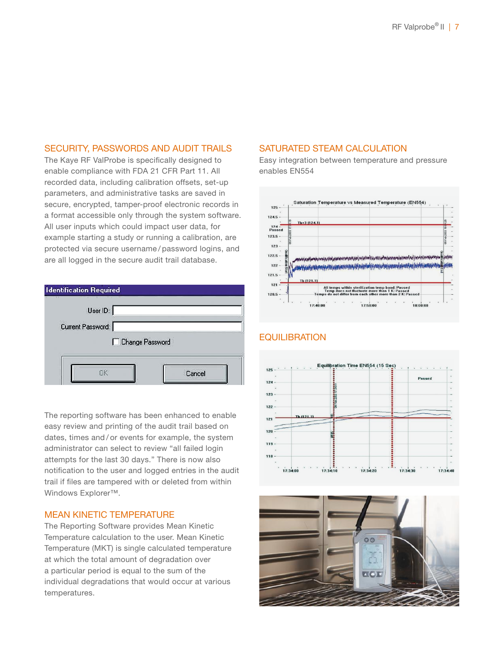#### SECURITY, PASSWORDS AND AUDIT TRAILS

The Kaye RF ValProbe is specifically designed to enable compliance with FDA 21 CFR Part 11. All recorded data, including calibration offsets, set-up parameters, and administrative tasks are saved in secure, encrypted, tamper-proof electronic records in a format accessible only through the system software. All user inputs which could impact user data, for example starting a study or running a calibration, are protected via secure username / password logins, and are all logged in the secure audit trail database.



The reporting software has been enhanced to enable easy review and printing of the audit trail based on dates, times and / or events for example, the system administrator can select to review "all failed login attempts for the last 30 days." There is now also notification to the user and logged entries in the audit trail if files are tampered with or deleted from within Windows Explorer<sup>™</sup>.

#### MEAN KINETIC TEMPERATURE

The Reporting Software provides Mean Kinetic Temperature calculation to the user. Mean Kinetic Temperature (MKT) is single calculated temperature at which the total amount of degradation over a particular period is equal to the sum of the individual degradations that would occur at various temperatures.

#### SATURATED STEAM CALCULATION

Easy integration between temperature and pressure enables EN554



#### Equilibration Time EN554 (15 Sec)  $125$ **Passed** 124  $123$  $122$ 121  $120$  $119 -$ 118  $\ddot{z}$ 17:34:20 17:34:30 17:34:10  $17:34:00$ 17:34:40



#### **EQUILIBRATION**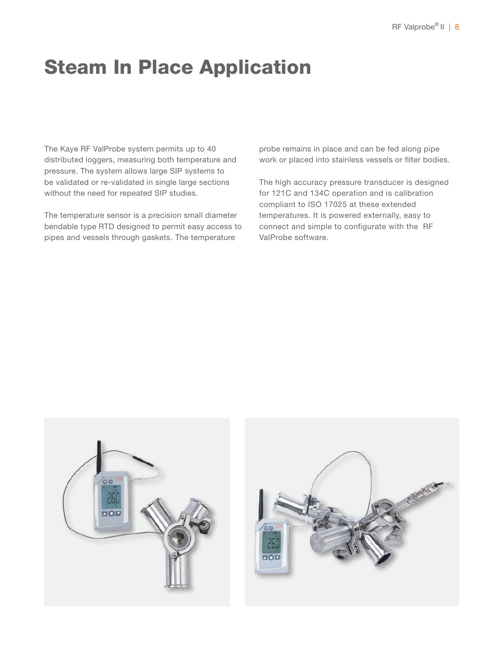# Steam In Place Application

The Kaye RF ValProbe system permits up to 40 distributed loggers, measuring both temperature and pressure. The system allows large SIP systems to be validated or re-validated in single large sections without the need for repeated SIP studies.

The temperature sensor is a precision small diameter bendable type RTD designed to permit easy access to pipes and vessels through gaskets. The temperature

probe remains in place and can be fed along pipe work or placed into stainless vessels or filter bodies.

The high accuracy pressure transducer is designed for 121C and 134C operation and is calibration compliant to ISO 17025 at these extended temperatures. It is powered externally, easy to connect and simple to configurate with the RF ValProbe software.



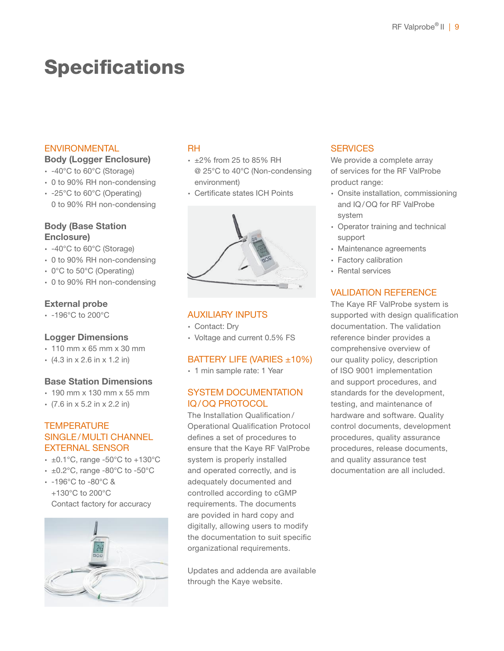# **Specifications**

#### ENVIRONMENTAL

#### Body (Logger Enclosure)

- ∙ -40°C to 60°C (Storage)
- ∙ 0 to 90% RH non-condensing
- ∙ -25°C to 60°C (Operating) 0 to 90% RH non-condensing

#### Body (Base Station Enclosure)

- ∙ -40°C to 60°C (Storage)
- ∙ 0 to 90% RH non-condensing
- ∙ 0°C to 50°C (Operating)
- ∙ 0 to 90% RH non-condensing

#### External probe

∙ -196°C to 200°C

#### Logger Dimensions

- ∙ 110 mm x 65 mm x 30 mm
- ∙ (4.3 in x 2.6 in x 1.2 in)

#### Base Station Dimensions

- ∙ 190 mm x 130 mm x 55 mm
- ∙ (7.6 in x 5.2 in x 2.2 in)

#### **TEMPERATURE** SINGLE/MULTI CHANNEL EXTERNAL SENSOR

- ∙ ±0.1°C, range -50°C to +130°C
- ∙ ±0.2°C, range -80°C to -50°C
- ∙ -196°C to -80°C & +130°C to 200°C Contact factory for accuracy



#### RH

- ∙ ±2% from 25 to 85% RH @ 25°C to 40°C (Non-condensing environment)
- ∙ Certificate states ICH Points



#### AUXILIARY INPUTS

- ∙ Contact: Dry
- ∙ Voltage and current 0.5% FS

#### BATTERY LIFE (VARIES ±10%)

∙ 1 min sample rate: 1 Year

#### SYSTEM DOCUMENTATION IQ/OQ PROTOCOL

The Installation Qualification / Operational Qualification Protocol defines a set of procedures to ensure that the Kaye RF ValProbe system is properly installed and operated correctly, and is adequately documented and controlled according to cGMP requirements. The documents are povided in hard copy and digitally, allowing users to modify the documentation to suit specific organizational requirements.

Updates and addenda are available through the Kaye website.

#### **SERVICES**

We provide a complete array of services for the RF ValProbe product range:

- ∙ Onsite installation, commissioning and IQ/OQ for RF ValProbe system
- ∙ Operator training and technical support
- ∙ Maintenance agreements
- ∙ Factory calibration
- ∙ Rental services

#### VALIDATION REFERENCE

The Kaye RF ValProbe system is supported with design qualification documentation. The validation reference binder provides a comprehensive overview of our quality policy, description of ISO 9001 implementation and support procedures, and standards for the development, testing, and maintenance of hardware and software. Quality control documents, development procedures, quality assurance procedures, release documents, and quality assurance test documentation are all included.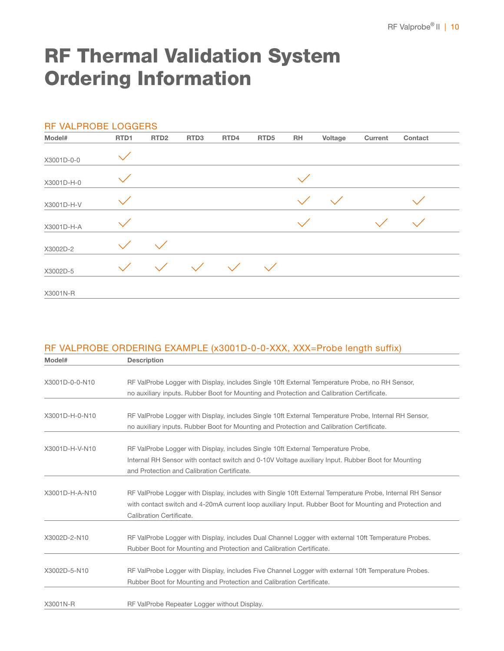# RF Thermal Validation System Ordering Information

| RF VALPROBE LOGGERS |      |                  |                  |           |                  |           |             |         |              |
|---------------------|------|------------------|------------------|-----------|------------------|-----------|-------------|---------|--------------|
| Model#              | RTD1 | RTD <sub>2</sub> | RTD <sub>3</sub> | RTD4      | RTD <sub>5</sub> | <b>RH</b> | Voltage     | Current | Contact      |
| X3001D-0-0          |      |                  |                  |           |                  |           |             |         |              |
| X3001D-H-0          |      |                  |                  |           |                  |           |             |         |              |
| X3001D-H-V          |      |                  |                  |           |                  |           | $\diagdown$ |         |              |
| X3001D-H-A          |      |                  |                  |           |                  |           |             |         | $\mathbf{N}$ |
| X3002D-2            |      | $\propto$        |                  |           |                  |           |             |         |              |
| X3002D-5            |      | $\checkmark$     |                  | $\sqrt{}$ |                  |           |             |         |              |
| X3001N-R            |      |                  |                  |           |                  |           |             |         |              |

#### RF VALPROBE ORDERING EXAMPLE (x3001D-0-0-XXX, XXX=Probe length suffix)

| Model#         | <b>Description</b>                                                                                        |
|----------------|-----------------------------------------------------------------------------------------------------------|
|                |                                                                                                           |
| X3001D-0-0-N10 | RF ValProbe Logger with Display, includes Single 10ft External Temperature Probe, no RH Sensor,           |
|                | no auxiliary inputs. Rubber Boot for Mounting and Protection and Calibration Certificate.                 |
|                |                                                                                                           |
| X3001D-H-0-N10 | RF ValProbe Logger with Display, includes Single 10ft External Temperature Probe, Internal RH Sensor,     |
|                | no auxiliary inputs. Rubber Boot for Mounting and Protection and Calibration Certificate.                 |
|                |                                                                                                           |
| X3001D-H-V-N10 | RF ValProbe Logger with Display, includes Single 10ft External Temperature Probe,                         |
|                | Internal RH Sensor with contact switch and 0-10V Voltage auxiliary Input. Rubber Boot for Mounting        |
|                | and Protection and Calibration Certificate.                                                               |
|                |                                                                                                           |
| X3001D-H-A-N10 | RF ValProbe Logger with Display, includes with Single 10ft External Temperature Probe, Internal RH Sensor |
|                | with contact switch and 4-20mA current loop auxiliary Input. Rubber Boot for Mounting and Protection and  |
|                | Calibration Certificate.                                                                                  |
|                |                                                                                                           |
| X3002D-2-N10   | RF ValProbe Logger with Display, includes Dual Channel Logger with external 10ft Temperature Probes.      |
|                | Rubber Boot for Mounting and Protection and Calibration Certificate.                                      |
|                |                                                                                                           |
| X3002D-5-N10   | RF ValProbe Logger with Display, includes Five Channel Logger with external 10ft Temperature Probes.      |
|                | Rubber Boot for Mounting and Protection and Calibration Certificate.                                      |
|                |                                                                                                           |
| X3001N-R       | RF ValProbe Repeater Logger without Display.                                                              |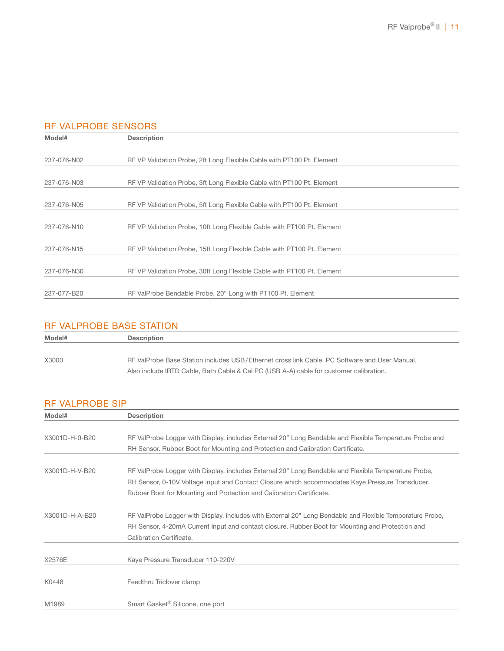#### RF VALPROBE SENSORS

| Model#      | <b>Description</b>                                                      |
|-------------|-------------------------------------------------------------------------|
|             |                                                                         |
| 237-076-N02 | RF VP Validation Probe, 2ft Long Flexible Cable with PT100 Pt. Element  |
|             |                                                                         |
| 237-076-N03 | RF VP Validation Probe, 3ft Long Flexible Cable with PT100 Pt. Element  |
|             |                                                                         |
| 237-076-N05 | RF VP Validation Probe, 5ft Long Flexible Cable with PT100 Pt. Element  |
|             |                                                                         |
| 237-076-N10 | RF VP Validation Probe, 10ft Long Flexible Cable with PT100 Pt. Element |
|             |                                                                         |
| 237-076-N15 | RF VP Validation Probe, 15ft Long Flexible Cable with PT100 Pt. Element |
|             |                                                                         |
| 237-076-N30 | RF VP Validation Probe, 30ft Long Flexible Cable with PT100 Pt. Element |
|             |                                                                         |
| 237-077-B20 | RF ValProbe Bendable Probe, 20" Long with PT100 Pt. Element             |

#### RF VALPROBE BASE STATION

| Model# | <b>Description</b>                                                                            |
|--------|-----------------------------------------------------------------------------------------------|
|        |                                                                                               |
| X3000  | RF ValProbe Base Station includes USB/Ethernet cross link Cable. PC Software and User Manual. |
|        | Also include IRTD Cable, Bath Cable & Cal PC (USB A-A) cable for customer calibration.        |

#### RF VALPROBE SIP

| Model#         | <b>Description</b>                                                                                        |  |  |  |  |  |  |
|----------------|-----------------------------------------------------------------------------------------------------------|--|--|--|--|--|--|
|                |                                                                                                           |  |  |  |  |  |  |
| X3001D-H-0-B20 | RF ValProbe Logger with Display, includes External 20" Long Bendable and Flexible Temperature Probe and   |  |  |  |  |  |  |
|                | RH Sensor. Rubber Boot for Mounting and Protection and Calibration Certificate.                           |  |  |  |  |  |  |
| X3001D-H-V-B20 | RF ValProbe Logger with Display, includes External 20" Long Bendable and Flexible Temperature Probe,      |  |  |  |  |  |  |
|                | RH Sensor, 0-10V Voltage input and Contact Closure which accommodates Kaye Pressure Transducer.           |  |  |  |  |  |  |
|                | Rubber Boot for Mounting and Protection and Calibration Certificate.                                      |  |  |  |  |  |  |
|                |                                                                                                           |  |  |  |  |  |  |
| X3001D-H-A-B20 | RF ValProbe Logger with Display, includes with External 20" Long Bendable and Flexible Temperature Probe, |  |  |  |  |  |  |
|                | RH Sensor, 4-20mA Current Input and contact closure. Rubber Boot for Mounting and Protection and          |  |  |  |  |  |  |
|                | Calibration Certificate.                                                                                  |  |  |  |  |  |  |
| X2576E         | Kaye Pressure Transducer 110-220V                                                                         |  |  |  |  |  |  |
| K0448          | Feedthru Triclover clamp                                                                                  |  |  |  |  |  |  |
| M1989          | Smart Gasket <sup>®</sup> Silicone, one port                                                              |  |  |  |  |  |  |